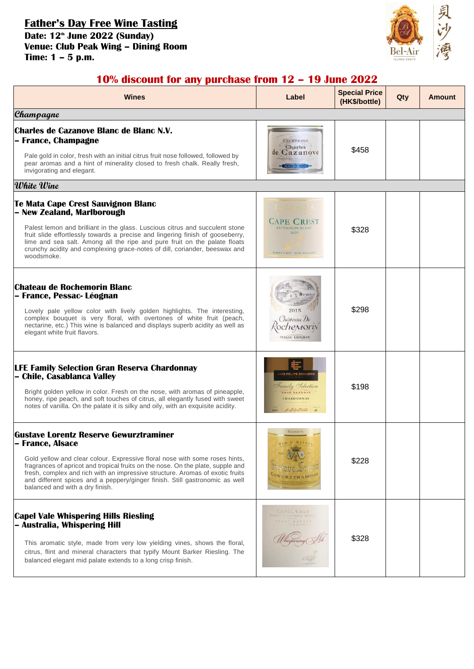**Father's Day Free Wine Tasting Date: 12th June 2022 (Sunday) Venue: Club Peak Wing – Dining Room Time: 1 – 5 p.m.**



## **10% discount for any purchase from 12 – 19 June 2022**

| Wines                                                                                                                                                                                                                                                                                                                                                                                                                                  | Label                                                                                            | <b>Special Price</b><br>(HK\$/bottle) | Qty | <b>Amount</b> |
|----------------------------------------------------------------------------------------------------------------------------------------------------------------------------------------------------------------------------------------------------------------------------------------------------------------------------------------------------------------------------------------------------------------------------------------|--------------------------------------------------------------------------------------------------|---------------------------------------|-----|---------------|
| Champagne                                                                                                                                                                                                                                                                                                                                                                                                                              |                                                                                                  |                                       |     |               |
| Charles de Cazanove Blanc de Blanc N.V.<br>- France, Champagne<br>Pale gold in color, fresh with an initial citrus fruit nose followed, followed by<br>pear aromas and a hint of minerality closed to fresh chalk. Really fresh,<br>invigorating and elegant.                                                                                                                                                                          | <b>CHAMPAGNE</b><br><b>Charles</b><br>de Cazanove                                                | \$458                                 |     |               |
| White Wine                                                                                                                                                                                                                                                                                                                                                                                                                             |                                                                                                  |                                       |     |               |
| Te Mata Cape Crest Sauvignon Blanc<br>- New Zealand, Marlborough<br>Palest lemon and brilliant in the glass. Luscious citrus and succulent stone<br>fruit slide effortlessly towards a precise and lingering finish of gooseberry,<br>lime and sea salt. Among all the ripe and pure fruit on the palate floats<br>crunchy acidity and complexing grace-notes of dill, coriander, beeswax and<br>woodsmoke.                            | <b>CAPE CREST</b><br><b>SAUVIGNON BLAND</b><br>2020<br>HAWKE'S BAY NEW ZEALAND                   | \$328                                 |     |               |
| Chateau de Rochemorin Blanc<br>– France, Pessac- Léognan<br>Lovely pale yellow color with lively golden highlights. The interesting,<br>complex bouquet is very floral, with overtones of white fruit (peach,<br>nectarine, etc.) This wine is balanced and displays superb acidity as well as<br>elegant white fruit flavors.                                                                                                         | 2015<br>Château De<br><i>chemory</i><br>PESSAC-LÉOGNAN                                           | \$298                                 |     |               |
| <b>LFE Family Selection Gran Reserva Chardonnay</b><br>- Chile, Casablanca Valley<br>Bright golden yellow in color. Fresh on the nose, with aromas of pineapple,<br>honey, ripe peach, and soft touches of citrus, all elegantly fused with sweet<br>notes of vanilla. On the palate it is silky and oily, with an exquisite acidity.                                                                                                  | <b>UIS FELIPE EDWARDS</b><br>Family Selection<br>GRAN RESERVA<br>CHARDONNAY<br>La Feline Dans 24 | \$198                                 |     |               |
| <b>Gustave Lorentz Reserve Gewurztraminer</b><br>– France, Alsace<br>Gold yellow and clear colour. Expressive floral nose with some roses hints,<br>fragrances of apricot and tropical fruits on the nose. On the plate, supple and<br>fresh, complex and rich with an impressive structure. Aromas of exotic fruits<br>and different spices and a peppery/ginger finish. Still gastronomic as well<br>balanced and with a dry finish. | <b>RESERVE</b>                                                                                   | \$228                                 |     |               |
| <b>Capel Vale Whispering Hills Riesling</b><br>- Australia, Whispering Hill<br>This aromatic style, made from very low yielding vines, shows the floral,<br>citrus, flint and mineral characters that typify Mount Barker Riesling. The<br>balanced elegant mid palate extends to a long crisp finish.                                                                                                                                 | CAPEL VALE<br><b>YARD SER</b>                                                                    | \$328                                 |     |               |